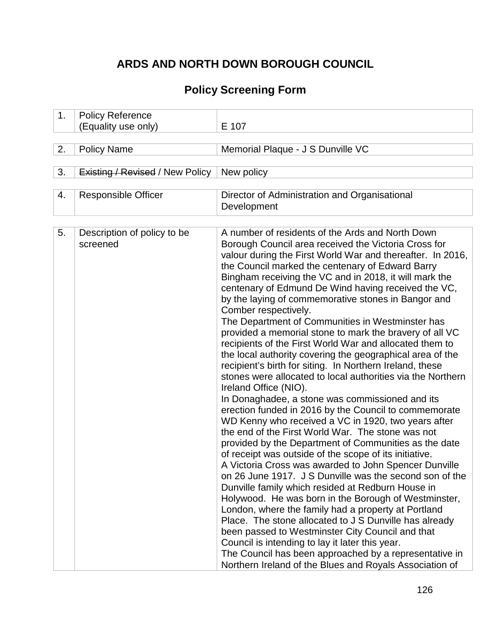# **ARDS AND NORTH DOWN BOROUGH COUNCIL**

# **Policy Screening Form**

| 1. | <b>Policy Reference</b>                 |                                                                                                                                                                                                                                                                                                                                                                                                                                                                                                                                                                                                                                                                                                                                                                                                                                                                                                                                                                                                                                                                                                                                                                                                                                                                                                                                                                                                                                                                                                                                                                                                                                                                                                                                                |
|----|-----------------------------------------|------------------------------------------------------------------------------------------------------------------------------------------------------------------------------------------------------------------------------------------------------------------------------------------------------------------------------------------------------------------------------------------------------------------------------------------------------------------------------------------------------------------------------------------------------------------------------------------------------------------------------------------------------------------------------------------------------------------------------------------------------------------------------------------------------------------------------------------------------------------------------------------------------------------------------------------------------------------------------------------------------------------------------------------------------------------------------------------------------------------------------------------------------------------------------------------------------------------------------------------------------------------------------------------------------------------------------------------------------------------------------------------------------------------------------------------------------------------------------------------------------------------------------------------------------------------------------------------------------------------------------------------------------------------------------------------------------------------------------------------------|
|    | (Equality use only)                     | E 107                                                                                                                                                                                                                                                                                                                                                                                                                                                                                                                                                                                                                                                                                                                                                                                                                                                                                                                                                                                                                                                                                                                                                                                                                                                                                                                                                                                                                                                                                                                                                                                                                                                                                                                                          |
|    |                                         |                                                                                                                                                                                                                                                                                                                                                                                                                                                                                                                                                                                                                                                                                                                                                                                                                                                                                                                                                                                                                                                                                                                                                                                                                                                                                                                                                                                                                                                                                                                                                                                                                                                                                                                                                |
| 2. | <b>Policy Name</b>                      | Memorial Plaque - J S Dunville VC                                                                                                                                                                                                                                                                                                                                                                                                                                                                                                                                                                                                                                                                                                                                                                                                                                                                                                                                                                                                                                                                                                                                                                                                                                                                                                                                                                                                                                                                                                                                                                                                                                                                                                              |
| 3. | <b>Existing / Revised / New Policy</b>  | New policy                                                                                                                                                                                                                                                                                                                                                                                                                                                                                                                                                                                                                                                                                                                                                                                                                                                                                                                                                                                                                                                                                                                                                                                                                                                                                                                                                                                                                                                                                                                                                                                                                                                                                                                                     |
|    |                                         |                                                                                                                                                                                                                                                                                                                                                                                                                                                                                                                                                                                                                                                                                                                                                                                                                                                                                                                                                                                                                                                                                                                                                                                                                                                                                                                                                                                                                                                                                                                                                                                                                                                                                                                                                |
| 4. | <b>Responsible Officer</b>              | Director of Administration and Organisational<br>Development                                                                                                                                                                                                                                                                                                                                                                                                                                                                                                                                                                                                                                                                                                                                                                                                                                                                                                                                                                                                                                                                                                                                                                                                                                                                                                                                                                                                                                                                                                                                                                                                                                                                                   |
|    |                                         |                                                                                                                                                                                                                                                                                                                                                                                                                                                                                                                                                                                                                                                                                                                                                                                                                                                                                                                                                                                                                                                                                                                                                                                                                                                                                                                                                                                                                                                                                                                                                                                                                                                                                                                                                |
| 5. | Description of policy to be<br>screened | A number of residents of the Ards and North Down<br>Borough Council area received the Victoria Cross for<br>valour during the First World War and thereafter. In 2016,<br>the Council marked the centenary of Edward Barry<br>Bingham receiving the VC and in 2018, it will mark the<br>centenary of Edmund De Wind having received the VC,<br>by the laying of commemorative stones in Bangor and<br>Comber respectively.<br>The Department of Communities in Westminster has<br>provided a memorial stone to mark the bravery of all VC<br>recipients of the First World War and allocated them to<br>the local authority covering the geographical area of the<br>recipient's birth for siting. In Northern Ireland, these<br>stones were allocated to local authorities via the Northern<br>Ireland Office (NIO).<br>In Donaghadee, a stone was commissioned and its<br>erection funded in 2016 by the Council to commemorate<br>WD Kenny who received a VC in 1920, two years after<br>the end of the First World War. The stone was not<br>provided by the Department of Communities as the date<br>of receipt was outside of the scope of its initiative.<br>A Victoria Cross was awarded to John Spencer Dunville<br>on 26 June 1917. J S Dunville was the second son of the<br>Dunville family which resided at Redburn House in<br>Holywood. He was born in the Borough of Westminster,<br>London, where the family had a property at Portland<br>Place. The stone allocated to J S Dunville has already<br>been passed to Westminster City Council and that<br>Council is intending to lay it later this year.<br>The Council has been approached by a representative in<br>Northern Ireland of the Blues and Royals Association of |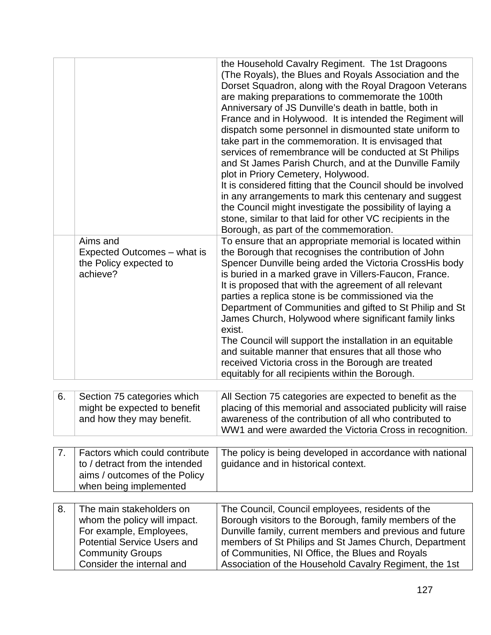|    |                                                                                                                                                                                   | the Household Cavalry Regiment. The 1st Dragoons<br>(The Royals), the Blues and Royals Association and the<br>Dorset Squadron, along with the Royal Dragoon Veterans<br>are making preparations to commemorate the 100th<br>Anniversary of JS Dunville's death in battle, both in<br>France and in Holywood. It is intended the Regiment will<br>dispatch some personnel in dismounted state uniform to<br>take part in the commemoration. It is envisaged that<br>services of remembrance will be conducted at St Philips<br>and St James Parish Church, and at the Dunville Family<br>plot in Priory Cemetery, Holywood.<br>It is considered fitting that the Council should be involved<br>in any arrangements to mark this centenary and suggest<br>the Council might investigate the possibility of laying a<br>stone, similar to that laid for other VC recipients in the<br>Borough, as part of the commemoration. |
|----|-----------------------------------------------------------------------------------------------------------------------------------------------------------------------------------|---------------------------------------------------------------------------------------------------------------------------------------------------------------------------------------------------------------------------------------------------------------------------------------------------------------------------------------------------------------------------------------------------------------------------------------------------------------------------------------------------------------------------------------------------------------------------------------------------------------------------------------------------------------------------------------------------------------------------------------------------------------------------------------------------------------------------------------------------------------------------------------------------------------------------|
|    | Aims and<br>Expected Outcomes - what is<br>the Policy expected to<br>achieve?                                                                                                     | To ensure that an appropriate memorial is located within<br>the Borough that recognises the contribution of John<br>Spencer Dunville being arded the Victoria CrossHis body<br>is buried in a marked grave in Villers-Faucon, France.<br>It is proposed that with the agreement of all relevant<br>parties a replica stone is be commissioned via the<br>Department of Communities and gifted to St Philip and St<br>James Church, Holywood where significant family links<br>exist.<br>The Council will support the installation in an equitable<br>and suitable manner that ensures that all those who<br>received Victoria cross in the Borough are treated<br>equitably for all recipients within the Borough.                                                                                                                                                                                                        |
| 6. | Section 75 categories which<br>might be expected to benefit<br>and how they may benefit.                                                                                          | All Section 75 categories are expected to benefit as the<br>placing of this memorial and associated publicity will raise<br>awareness of the contribution of all who contributed to<br>WW1 and were awarded the Victoria Cross in recognition.                                                                                                                                                                                                                                                                                                                                                                                                                                                                                                                                                                                                                                                                            |
| 7. | Factors which could contribute<br>to / detract from the intended<br>aims / outcomes of the Policy<br>when being implemented                                                       | The policy is being developed in accordance with national<br>guidance and in historical context.                                                                                                                                                                                                                                                                                                                                                                                                                                                                                                                                                                                                                                                                                                                                                                                                                          |
| 8. | The main stakeholders on<br>whom the policy will impact.<br>For example, Employees,<br><b>Potential Service Users and</b><br><b>Community Groups</b><br>Consider the internal and | The Council, Council employees, residents of the<br>Borough visitors to the Borough, family members of the<br>Dunville family, current members and previous and future<br>members of St Philips and St James Church, Department<br>of Communities, NI Office, the Blues and Royals<br>Association of the Household Cavalry Regiment, the 1st                                                                                                                                                                                                                                                                                                                                                                                                                                                                                                                                                                              |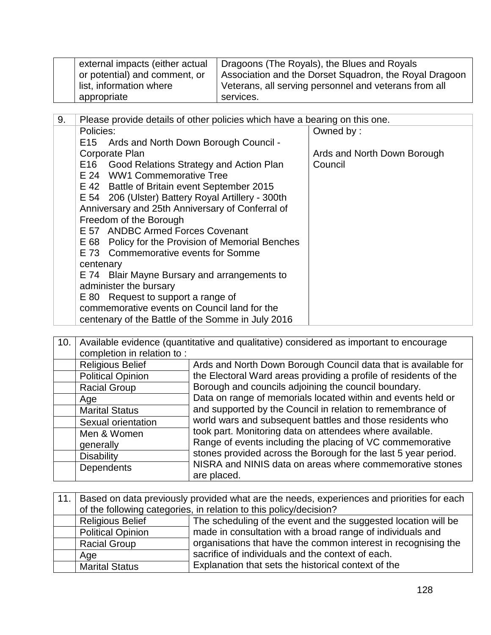| external impacts (either actual | Dragoons (The Royals), the Blues and Royals            |
|---------------------------------|--------------------------------------------------------|
| or potential) and comment, or   | Association and the Dorset Squadron, the Royal Dragoon |
| list, information where         | Veterans, all serving personnel and veterans from all  |
| appropriate                     | services.                                              |

| 9. | Please provide details of other policies which have a bearing on this one. |                             |  |
|----|----------------------------------------------------------------------------|-----------------------------|--|
|    | Policies:                                                                  | Owned by:                   |  |
|    | E15 Ards and North Down Borough Council -                                  |                             |  |
|    | Corporate Plan                                                             | Ards and North Down Borough |  |
|    | E16 Good Relations Strategy and Action Plan                                | Council                     |  |
|    | E 24 WW1 Commemorative Tree                                                |                             |  |
|    | E 42 Battle of Britain event September 2015                                |                             |  |
|    | E 54 206 (Ulster) Battery Royal Artillery - 300th                          |                             |  |
|    | Anniversary and 25th Anniversary of Conferral of                           |                             |  |
|    | Freedom of the Borough                                                     |                             |  |
|    | E 57 ANDBC Armed Forces Covenant                                           |                             |  |
|    | E 68 Policy for the Provision of Memorial Benches                          |                             |  |
|    | E 73 Commemorative events for Somme                                        |                             |  |
|    | centenary                                                                  |                             |  |
|    | E 74 Blair Mayne Bursary and arrangements to                               |                             |  |
|    | administer the bursary                                                     |                             |  |
|    | E 80 Request to support a range of                                         |                             |  |
|    | commemorative events on Council land for the                               |                             |  |
|    | centenary of the Battle of the Somme in July 2016                          |                             |  |

| 10. | Available evidence (quantitative and qualitative) considered as important to encourage |                                                                                                                                           |  |
|-----|----------------------------------------------------------------------------------------|-------------------------------------------------------------------------------------------------------------------------------------------|--|
|     | completion in relation to:                                                             |                                                                                                                                           |  |
|     | <b>Religious Belief</b>                                                                | Ards and North Down Borough Council data that is available for                                                                            |  |
|     | <b>Political Opinion</b>                                                               | the Electoral Ward areas providing a profile of residents of the                                                                          |  |
|     | <b>Racial Group</b>                                                                    | Borough and councils adjoining the council boundary.                                                                                      |  |
|     | Age                                                                                    | Data on range of memorials located within and events held or                                                                              |  |
|     | <b>Marital Status</b>                                                                  | and supported by the Council in relation to remembrance of                                                                                |  |
|     | Sexual orientation                                                                     | world wars and subsequent battles and those residents who                                                                                 |  |
|     | Men & Women                                                                            | took part. Monitoring data on attendees where available.                                                                                  |  |
|     | generally                                                                              | Range of events including the placing of VC commemorative                                                                                 |  |
|     | <b>Disability</b>                                                                      | stones provided across the Borough for the last 5 year period.<br>NISRA and NINIS data on areas where commemorative stones<br>are placed. |  |
|     | <b>Dependents</b>                                                                      |                                                                                                                                           |  |

| 11.1 | Based on data previously provided what are the needs, experiences and priorities for each |                                                     |  |
|------|-------------------------------------------------------------------------------------------|-----------------------------------------------------|--|
|      | of the following categories, in relation to this policy/decision?                         |                                                     |  |
|      | The scheduling of the event and the suggested location will be<br><b>Religious Belief</b> |                                                     |  |
|      | made in consultation with a broad range of individuals and<br><b>Political Opinion</b>    |                                                     |  |
|      | organisations that have the common interest in recognising the<br><b>Racial Group</b>     |                                                     |  |
|      | Age                                                                                       | sacrifice of individuals and the context of each.   |  |
|      | <b>Marital Status</b>                                                                     | Explanation that sets the historical context of the |  |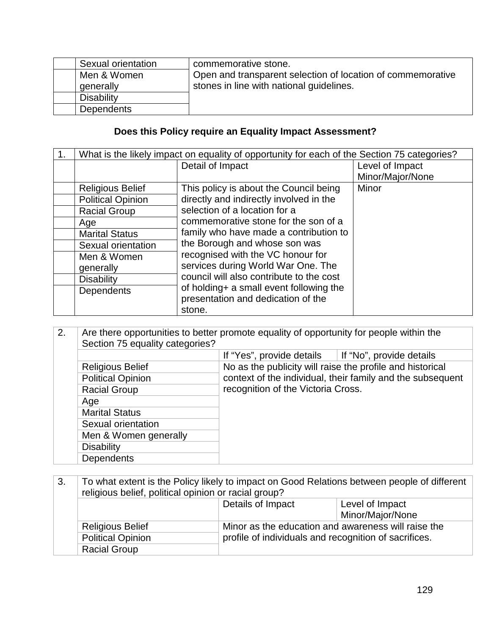| Sexual orientation | commemorative stone.                                        |
|--------------------|-------------------------------------------------------------|
| Men & Women        | Open and transparent selection of location of commemorative |
| generally          | stones in line with national guidelines.                    |
| Disability         |                                                             |
| Dependents         |                                                             |

## **Does this Policy require an Equality Impact Assessment?**

| 1. | What is the likely impact on equality of opportunity for each of the Section 75 categories? |                                          |                  |
|----|---------------------------------------------------------------------------------------------|------------------------------------------|------------------|
|    |                                                                                             | Detail of Impact                         | Level of Impact  |
|    |                                                                                             |                                          | Minor/Major/None |
|    | <b>Religious Belief</b>                                                                     | This policy is about the Council being   | Minor            |
|    | <b>Political Opinion</b>                                                                    | directly and indirectly involved in the  |                  |
|    | <b>Racial Group</b>                                                                         | selection of a location for a            |                  |
|    | Age                                                                                         | commemorative stone for the son of a     |                  |
|    | <b>Marital Status</b>                                                                       | family who have made a contribution to   |                  |
|    | Sexual orientation                                                                          | the Borough and whose son was            |                  |
|    | Men & Women                                                                                 | recognised with the VC honour for        |                  |
|    | generally                                                                                   | services during World War One. The       |                  |
|    | <b>Disability</b>                                                                           | council will also contribute to the cost |                  |
|    | <b>Dependents</b>                                                                           | of holding+ a small event following the  |                  |
|    |                                                                                             | presentation and dedication of the       |                  |
|    |                                                                                             | stone.                                   |                  |

| 2.                                                                                                                                                                             | Are there opportunities to better promote equality of opportunity for people within the<br>Section 75 equality categories? |                                                           |                          |
|--------------------------------------------------------------------------------------------------------------------------------------------------------------------------------|----------------------------------------------------------------------------------------------------------------------------|-----------------------------------------------------------|--------------------------|
|                                                                                                                                                                                |                                                                                                                            | If "Yes", provide details                                 | If "No", provide details |
| <b>Religious Belief</b><br>context of the individual, their family and the subsequent<br><b>Political Opinion</b><br>recognition of the Victoria Cross.<br><b>Racial Group</b> |                                                                                                                            | No as the publicity will raise the profile and historical |                          |
|                                                                                                                                                                                |                                                                                                                            |                                                           |                          |
|                                                                                                                                                                                |                                                                                                                            |                                                           |                          |
|                                                                                                                                                                                | Age                                                                                                                        |                                                           |                          |
|                                                                                                                                                                                | <b>Marital Status</b>                                                                                                      |                                                           |                          |
|                                                                                                                                                                                | Sexual orientation                                                                                                         |                                                           |                          |
|                                                                                                                                                                                | Men & Women generally                                                                                                      |                                                           |                          |
|                                                                                                                                                                                | <b>Disability</b>                                                                                                          |                                                           |                          |
|                                                                                                                                                                                | <b>Dependents</b>                                                                                                          |                                                           |                          |

3. To what extent is the Policy likely to impact on Good Relations between people of different religious belief, political opinion or racial group? Details of Impact Level of Impact

|  |                          | Minor/Major/None                                      |  |
|--|--------------------------|-------------------------------------------------------|--|
|  | <b>Religious Belief</b>  | Minor as the education and awareness will raise the   |  |
|  | <b>Political Opinion</b> | profile of individuals and recognition of sacrifices. |  |
|  | <b>Racial Group</b>      |                                                       |  |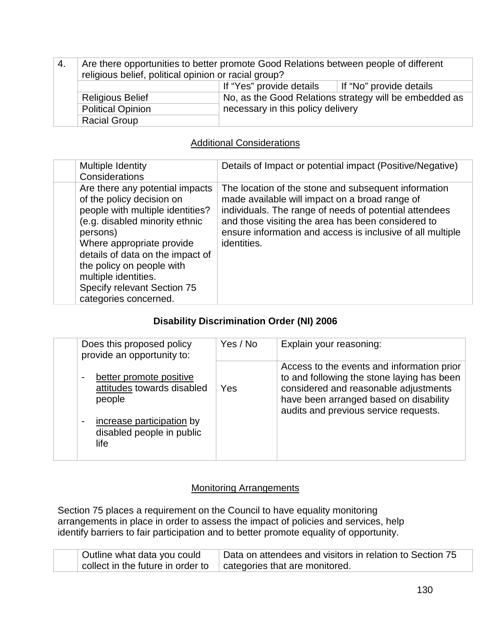| -4. | Are there opportunities to better promote Good Relations between people of different<br>religious belief, political opinion or racial group? |                                                                                             |                         |
|-----|----------------------------------------------------------------------------------------------------------------------------------------------|---------------------------------------------------------------------------------------------|-------------------------|
|     |                                                                                                                                              | If "Yes" provide details                                                                    | If "No" provide details |
|     | <b>Religious Belief</b>                                                                                                                      | No, as the Good Relations strategy will be embedded as<br>necessary in this policy delivery |                         |
|     | Political Opinion                                                                                                                            |                                                                                             |                         |
|     | <b>Racial Group</b>                                                                                                                          |                                                                                             |                         |

### Additional Considerations

| <b>Multiple Identity</b><br>Considerations                                                                                                                                                                                                                                                                                   | Details of Impact or potential impact (Positive/Negative)                                                                                                                                                                                                                                           |
|------------------------------------------------------------------------------------------------------------------------------------------------------------------------------------------------------------------------------------------------------------------------------------------------------------------------------|-----------------------------------------------------------------------------------------------------------------------------------------------------------------------------------------------------------------------------------------------------------------------------------------------------|
| Are there any potential impacts<br>of the policy decision on<br>people with multiple identities?<br>(e.g. disabled minority ethnic<br>persons)<br>Where appropriate provide<br>details of data on the impact of<br>the policy on people with<br>multiple identities.<br>Specify relevant Section 75<br>categories concerned. | The location of the stone and subsequent information<br>made available will impact on a broad range of<br>individuals. The range of needs of potential attendees<br>and those visiting the area has been considered to<br>ensure information and access is inclusive of all multiple<br>identities. |

## **Disability Discrimination Order (NI) 2006**

| Does this proposed policy<br>provide an opportunity to:                                                                                             | Yes / No | Explain your reasoning:                                                                                                                                                                                              |
|-----------------------------------------------------------------------------------------------------------------------------------------------------|----------|----------------------------------------------------------------------------------------------------------------------------------------------------------------------------------------------------------------------|
| better promote positive<br>attitudes towards disabled<br>people<br>increase participation by<br>$\overline{a}$<br>disabled people in public<br>life | Yes      | Access to the events and information prior<br>to and following the stone laying has been<br>considered and reasonable adjustments<br>have been arranged based on disability<br>audits and previous service requests. |

#### **Monitoring Arrangements**

Section 75 places a requirement on the Council to have equality monitoring arrangements in place in order to assess the impact of policies and services, help identify barriers to fair participation and to better promote equality of opportunity.

| Outline what data you could       | Data on attendees and visitors in relation to Section 75 |  |
|-----------------------------------|----------------------------------------------------------|--|
| collect in the future in order to | $\vert$ categories that are monitored.                   |  |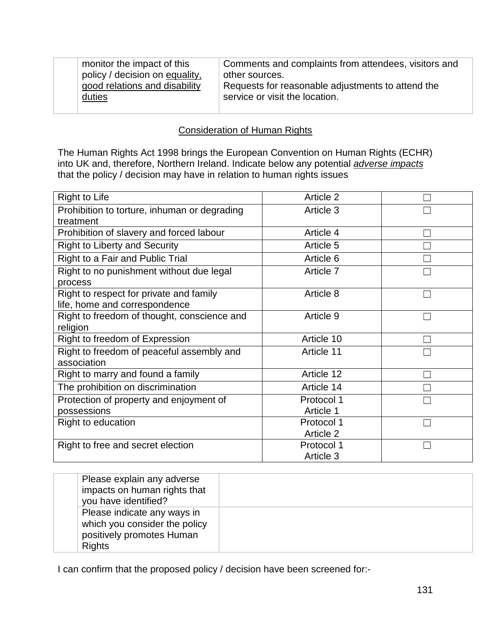| monitor the impact of this     | Comments and complaints from attendees, visitors and |
|--------------------------------|------------------------------------------------------|
| policy / decision on equality, | other sources.                                       |
| good relations and disability  | Requests for reasonable adjustments to attend the    |
| duties                         | service or visit the location.                       |
|                                |                                                      |

### **Consideration of Human Rights**

The Human Rights Act 1998 brings the European Convention on Human Rights (ECHR) into UK and, therefore, Northern Ireland. Indicate below any potential *adverse impacts* that the policy / decision may have in relation to human rights issues

| <b>Right to Life</b>                         | Article 2  |   |
|----------------------------------------------|------------|---|
| Prohibition to torture, inhuman or degrading | Article 3  |   |
| treatment                                    |            |   |
| Prohibition of slavery and forced labour     | Article 4  |   |
| <b>Right to Liberty and Security</b>         | Article 5  |   |
| Right to a Fair and Public Trial             | Article 6  |   |
| Right to no punishment without due legal     | Article 7  |   |
| process                                      |            |   |
| Right to respect for private and family      | Article 8  |   |
| life, home and correspondence                |            |   |
| Right to freedom of thought, conscience and  | Article 9  |   |
| religion                                     |            |   |
| Right to freedom of Expression               | Article 10 |   |
| Right to freedom of peaceful assembly and    | Article 11 |   |
| association                                  |            |   |
| Right to marry and found a family            | Article 12 |   |
| The prohibition on discrimination            | Article 14 |   |
| Protection of property and enjoyment of      | Protocol 1 |   |
| possessions                                  | Article 1  |   |
| Right to education                           | Protocol 1 | П |
|                                              | Article 2  |   |
| Right to free and secret election            | Protocol 1 |   |
|                                              | Article 3  |   |

|  | Please explain any adverse<br>impacts on human rights that<br>you have identified?                         |  |
|--|------------------------------------------------------------------------------------------------------------|--|
|  | Please indicate any ways in<br>which you consider the policy<br>positively promotes Human<br><b>Rights</b> |  |

I can confirm that the proposed policy / decision have been screened for:-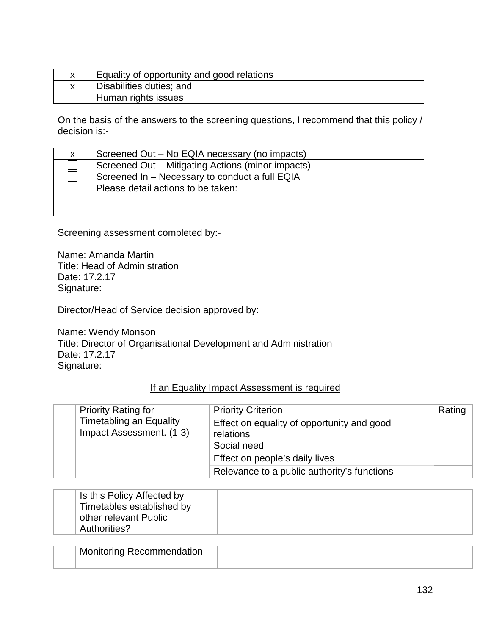| Equality of opportunity and good relations |
|--------------------------------------------|
| Disabilities duties; and                   |
| Human rights issues                        |

On the basis of the answers to the screening questions, I recommend that this policy / decision is:-

| X. | Screened Out – No EQIA necessary (no impacts)                                        |
|----|--------------------------------------------------------------------------------------|
|    | Screened Out – Mitigating Actions (minor impacts)                                    |
|    | Screened In - Necessary to conduct a full EQIA<br>Please detail actions to be taken: |

Screening assessment completed by:-

Name: Amanda Martin Title: Head of Administration Date: 17.2.17 Signature:

Director/Head of Service decision approved by:

Name: Wendy Monson Title: Director of Organisational Development and Administration Date: 17.2.17 Signature:

#### If an Equality Impact Assessment is required

|  | <b>Priority Rating for</b><br><b>Timetabling an Equality</b><br>Impact Assessment. (1-3) | <b>Priority Criterion</b>                               | Rating |
|--|------------------------------------------------------------------------------------------|---------------------------------------------------------|--------|
|  |                                                                                          | Effect on equality of opportunity and good<br>relations |        |
|  |                                                                                          | Social need                                             |        |
|  |                                                                                          | Effect on people's daily lives                          |        |
|  |                                                                                          | Relevance to a public authority's functions             |        |

| Is this Policy Affected by<br>Timetables established by<br>other relevant Public |  |
|----------------------------------------------------------------------------------|--|
| Authorities?                                                                     |  |